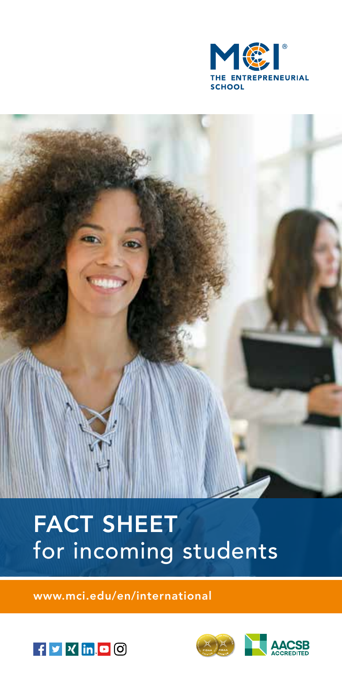

# FACT SHEET for incoming students

www.mci.edu/en/international



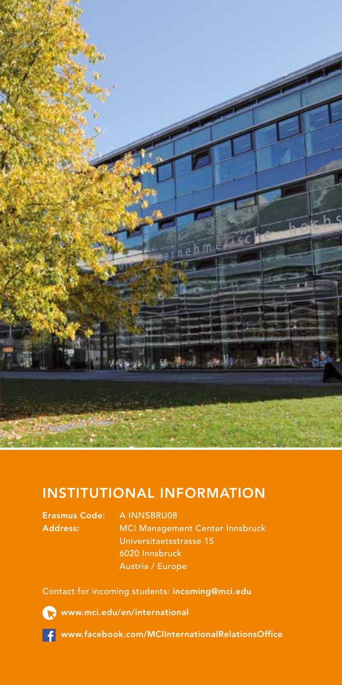

#### INSTITUTIONAL INFORMATION

Erasmus Code: A INNSBRU08

Address: MCI Management Center Innsbruck Universitaetsstrasse 15 6020 Innsbruck Austria / Europe

Contact for incoming students: incoming@mci.edu



www.mci.edu/en/international



www.facebook.com/MCIInternationalRelationsOffice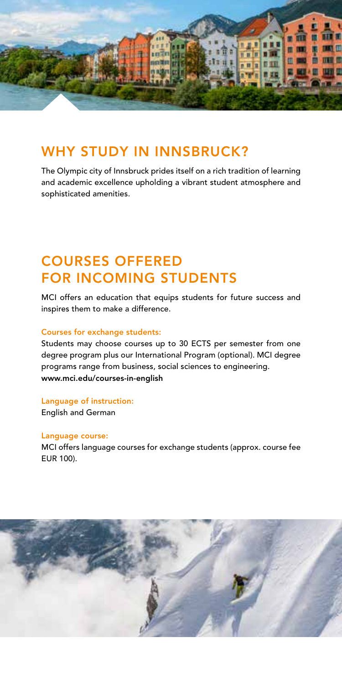

#### WHY STUDY IN INNSBRUCK?

The Olympic city of Innsbruck prides itself on a rich tradition of learning and academic excellence upholding a vibrant student atmosphere and sophisticated amenities.

### COURSES OFFERED FOR INCOMING STUDENTS

MCI offers an education that equips students for future success and inspires them to make a difference.

#### Courses for exchange students:

Students may choose courses up to 30 ECTS per semester from one degree program plus our International Program (optional). MCI degree programs range from business, social sciences to engineering. www.mci.edu/courses-in-english

Language of instruction: English and German

#### Language course:

MCI offers language courses for exchange students (approx. course fee EUR 100).

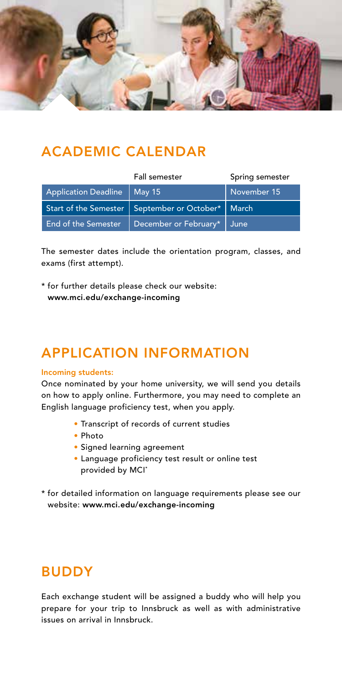

### ACADEMIC CALENDAR

|                               | Fall semester                                         | Spring semester |
|-------------------------------|-------------------------------------------------------|-----------------|
| Application Deadline   May 15 |                                                       | November 15     |
|                               | Start of the Semester   September or October*   March |                 |
| <b>End of the Semester</b>    | December or February*   June                          |                 |

The semester dates include the orientation program, classes, and exams (first attempt).

\* for further details please check our website: www.mci.edu/exchange-incoming

# APPLICATION INFORMATION

#### Incoming students:

Once nominated by your home university, we will send you details on how to apply online. Furthermore, you may need to complete an English language proficiency test, when you apply.

- Transcript of records of current studies
- Photo
- Signed learning agreement
- Language proficiency test result or online test provided by MCI\*
- \* for detailed information on language requirements please see our website: www.mci.edu/exchange-incoming

#### BUDDY

Each exchange student will be assigned a buddy who will help you prepare for your trip to Innsbruck as well as with administrative issues on arrival in Innsbruck.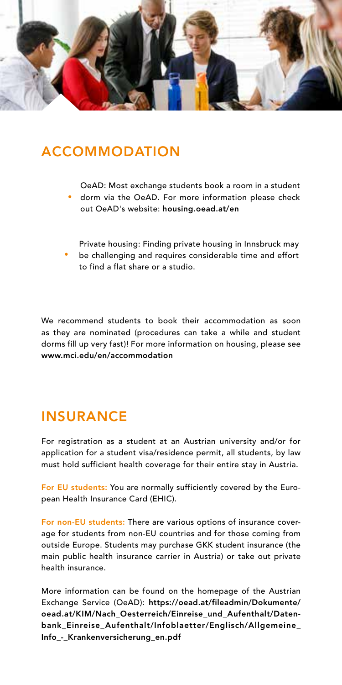

#### ACCOMMODATION

- OeAD: Most exchange students book a room in a student
- dorm via the OeAD. For more information please check out OeAD's website: housing.oead.at/en
- Private housing: Finding private housing in Innsbruck may be challenging and requires considerable time and effort to find a flat share or a studio.

We recommend students to book their accommodation as soon as they are nominated (procedures can take a while and student dorms fill up very fast)! For more information on housing, please see www.mci.edu/en/accommodation

#### INSURANCE

For registration as a student at an Austrian university and/or for application for a student visa/residence permit, all students, by law must hold sufficient health coverage for their entire stay in Austria.

For EU students: You are normally sufficiently covered by the European Health Insurance Card (EHIC).

For non-EU students: There are various options of insurance coverage for students from non-EU countries and for those coming from outside Europe. Students may purchase GKK student insurance (the main public health insurance carrier in Austria) or take out private health insurance.

More information can be found on the homepage of the Austrian Exchange Service (OeAD): https://oead.at/fileadmin/Dokumente/ oead.at/KIM/Nach\_Oesterreich/Einreise\_und\_Aufenthalt/Datenbank\_Einreise\_Aufenthalt/Infoblaetter/Englisch/Allgemeine\_ Info\_-\_Krankenversicherung\_en.pdf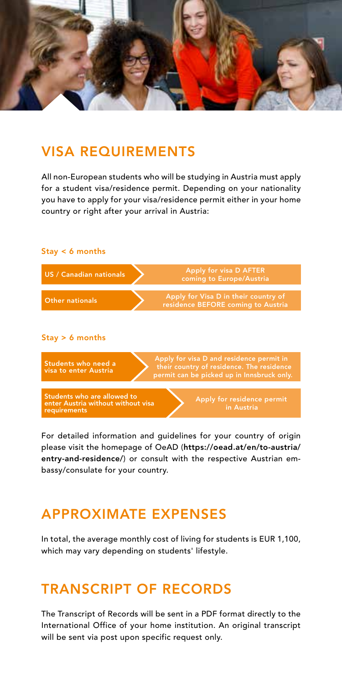

#### VISA REQUIREMENTS

All non-European students who will be studying in Austria must apply for a student visa/residence permit. Depending on your nationality you have to apply for your visa/residence permit either in your home country or right after your arrival in Austria:



For detailed information and guidelines for your country of origin please visit the homepage of OeAD (https://oead.at/en/to-austria/ entry-and-residence/) or consult with the respective Austrian embassy/consulate for your country.

### APPROXIMATE EXPENSES

In total, the average monthly cost of living for students is EUR 1,100, which may vary depending on students' lifestyle.

### TRANSCRIPT OF RECORDS

The Transcript of Records will be sent in a PDF format directly to the International Office of your home institution. An original transcript will be sent via post upon specific request only.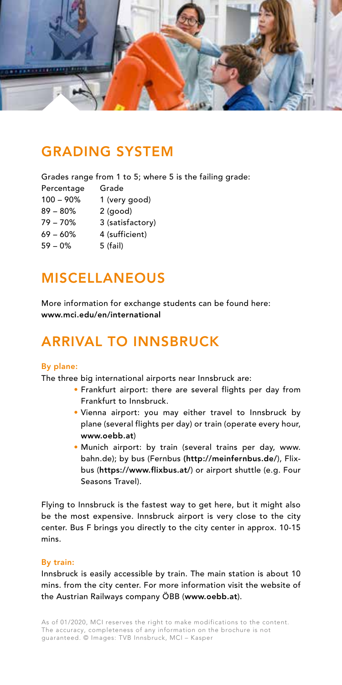

#### GRADING SYSTEM

Grades range from 1 to 5; where 5 is the failing grade:

- Percentage Grade
- 100 90% 1 (very good)
- 89 80% 2 (good)
- 79 70% 3 (satisfactory)
- 69 60% 4 (sufficient)
- 59 0% 5 (fail)

### MISCELLANEOUS

More information for exchange students can be found here: www.mci.edu/en/international

# ARRIVAL TO INNSBRUCK

#### By plane:

The three big international airports near Innsbruck are:

- Frankfurt airport: there are several flights per day from Frankfurt to Innsbruck.
- Vienna airport: you may either travel to Innsbruck by plane (several flights per day) or train (operate every hour, www.oebb.at)
- Munich airport: by train (several trains per day, www. bahn.de); by bus (Fernbus (http://meinfernbus.de/), Flixbus (https://www.flixbus.at/) or airport shuttle (e.g. Four Seasons Travel).

Flying to Innsbruck is the fastest way to get here, but it might also be the most expensive. Innsbruck airport is very close to the city center. Bus F brings you directly to the city center in approx. 10-15 mins.

#### By train:

Innsbruck is easily accessible by train. The main station is about 10 mins. from the city center. For more information visit the website of the Austrian Railways company ÖBB (www.oebb.at).